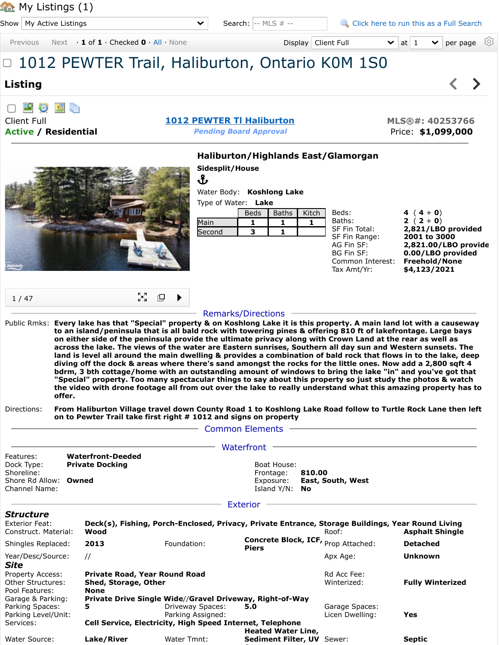Show  $\vert$  My Active Listings

Septic

Search:  $\left| \cdot \right|$  -- MLS # --  $\left| \cdot \right|$  [Click here to run this as a Full Search](javascript:__doPostBack() Previous Next **1 of 1** · Checked  $\mathbf{0} \cdot$  [All](javascript:DpyCB.onAllSetCheck(true)) · [None](javascript:DpyCB.onAllSetCheck(false)) **Display | Client Full**  $\mathbf{v}$  at  $1 \cdot \mathbf{v}$  per page  $\oslash$ Display | Client Full □ 1012 PEWTER Trail, Haliburton, Ontario K0M 1S0  $\left\langle \right\rangle$  $\blacktriangleright$ **Listing** 望め 動脈 Client Full **[1012 PEWTER Tl Haliburton](javascript:Dpy.mapPopup() MLS®#: 40253766 Active / Residential** *Pending Board Approval* Price: **\$1,099,000 Haliburton/Highlands East/Glamorgan Sidesplit/House** ၛၟႃ Water Body: **Koshlong Lake** Type of Water: **Lake** m Beds: **4**  $(4+0)$ Beds | Baths | Kitch | Baths: **2** (  $2 + 0$ ) Main **1 1 1** SF Fin Total: **2,821/LBO provided** Second **3 1** SF Fin Range: **2001 to 3000** AG Fin SF: **2,821.00/LBO provide** BG Fin SF: **0.00/LBO provided** Common Interest: **Freehold/None** Tax Amt/Yr: **\$4,123/2021** ∑a<br>M rQ. 1 / 47 Remarks/Directions Public Rmks: **Every lake has that "Special" property & on Koshlong Lake it is this property. A main land lot with a causeway to an island/peninsula that is all bald rock with towering pines & offering 810 ft of lakefrontage. Large bays on either side of the peninsula provide the ultimate privacy along with Crown Land at the rear as well as across the lake. The views of the water are Eastern sunrises, Southern all day sun and Western sunsets. The land is level all around the main dwelling & provides a combination of bald rock that flows in to the lake, deep diving off the dock & areas where there's sand amongst the rocks for the little ones. Now add a 2,800 sqft 4 bdrm, 3 bth cottage/home with an outstanding amount of windows to bring the lake "in" and you've got that "Special" property. Too many spectacular things to say about this property so just study the photos & watch the video with drone footage all from out over the lake to really understand what this amazing property has to offer.** Directions: **From Haliburton Village travel down County Road 1 to Koshlong Lake Road follow to Turtle Rock Lane then left on to Pewter Trail take first right # 1012 and signs on property** - Common Elements -- Waterfront – Features: **Waterfront-Deeded** Dock Type: **Private Docking Boat House:** Boat House: Shoreline: **Owned Communist Exposure: 810.00**<br>
Shore Rd Allow: **Owned** Communist Communist Exposure: **East, South, West** Shore Rd Allow: **Owned** Exposure: **Exposure:** Exposure: Channel Name: Island Y/N: **No** - Exterior -*Structure* Exterior Feat: **Deck(s), Fishing, Porch-Enclosed, Privacy, Private Entrance, Storage Buildings, Year Round Living** Construct. Material: **Wood** Roof: **Asphalt Shingle** Shingles Replaced: **<sup>2013</sup>** Foundation: **Concrete Block, ICF, Piers** Prop Attached: **Detached** Year/Desc/Source: // Apx Age: **Unknown** *Site*

**S**

Property Access: **Private Road, Year Round Road Reserve Access Report Reserve Access** Property Acce Fee: Other Structures: **Shed, Storage, Other No. 2016 1998 12: Minterized: <b>Fully Winterized Fully Winterized** Pool Features: **None** Garage & Parking: **Private Drive Single Wide**//**Gravel Driveway, Right-of-Way** Parking Spaces: **5 5 1** Driveway Spaces: **5.0 Garage Spaces: 5.0** Parking Level/Unit: Parking Assigned: Licen Dwelling: **Yes** Services: **Cell Service, Electricity, High Speed Internet, Telephone** Water Source: **Lake/River** Water Tmnt: **Heated Water Line, Sediment Filter, UV**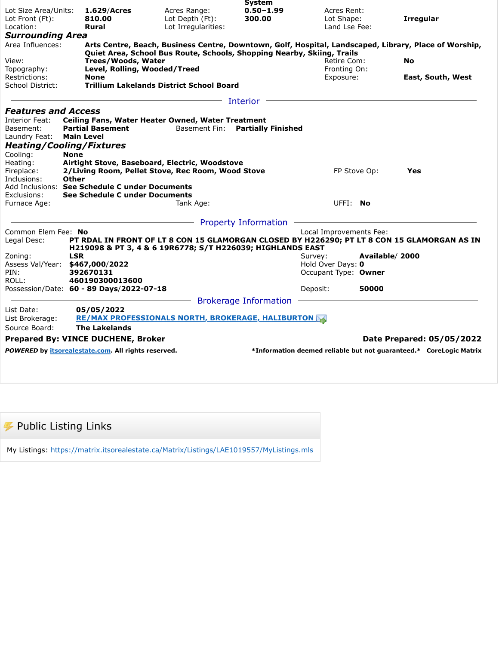|                                                           |                   |                                                                           |                     | <b>System</b>                                                          |                                           |                   |                                                                                                       |  |
|-----------------------------------------------------------|-------------------|---------------------------------------------------------------------------|---------------------|------------------------------------------------------------------------|-------------------------------------------|-------------------|-------------------------------------------------------------------------------------------------------|--|
| Lot Size Area/Units:                                      |                   | 1.629/Acres                                                               | Acres Range:        | $0.50 - 1.99$                                                          | Acres Rent:                               |                   |                                                                                                       |  |
| Lot Front (Ft):                                           |                   | 810.00                                                                    | Lot Depth (Ft):     | 300.00                                                                 | Lot Shape:                                |                   | <b>Irregular</b>                                                                                      |  |
| Location:                                                 |                   | <b>Rural</b>                                                              | Lot Irregularities: |                                                                        | Land Lse Fee:                             |                   |                                                                                                       |  |
| <b>Surrounding Area</b>                                   |                   |                                                                           |                     |                                                                        |                                           |                   |                                                                                                       |  |
| Area Influences:                                          |                   |                                                                           |                     |                                                                        |                                           |                   | Arts Centre, Beach, Business Centre, Downtown, Golf, Hospital, Landscaped, Library, Place of Worship, |  |
|                                                           |                   |                                                                           |                     | Quiet Area, School Bus Route, Schools, Shopping Nearby, Skiing, Trails |                                           |                   |                                                                                                       |  |
| View:<br>Topography:<br>Restrictions:<br>School District: |                   | Trees/Woods, Water                                                        | Retire Com:         |                                                                        | <b>No</b>                                 |                   |                                                                                                       |  |
|                                                           |                   | Level, Rolling, Wooded/Treed<br><b>None</b>                               |                     | Fronting On:<br>Exposure:                                              |                                           | East, South, West |                                                                                                       |  |
|                                                           |                   | <b>Trillium Lakelands District School Board</b>                           |                     |                                                                        |                                           |                   |                                                                                                       |  |
|                                                           |                   |                                                                           |                     |                                                                        |                                           |                   |                                                                                                       |  |
|                                                           |                   |                                                                           |                     | Interior                                                               |                                           |                   |                                                                                                       |  |
| <b>Features and Access</b>                                |                   |                                                                           |                     |                                                                        |                                           |                   |                                                                                                       |  |
| Interior Feat:                                            |                   | Ceiling Fans, Water Heater Owned, Water Treatment                         |                     |                                                                        |                                           |                   |                                                                                                       |  |
| Basement:                                                 |                   | <b>Partial Basement</b>                                                   |                     | Basement Fin: Partially Finished                                       |                                           |                   |                                                                                                       |  |
| Laundry Feat:                                             | <b>Main Level</b> |                                                                           |                     |                                                                        |                                           |                   |                                                                                                       |  |
| <b>Heating/Cooling/Fixtures</b>                           |                   |                                                                           |                     |                                                                        |                                           |                   |                                                                                                       |  |
| Cooling:                                                  | <b>None</b>       |                                                                           |                     |                                                                        |                                           |                   |                                                                                                       |  |
| Heating:                                                  |                   | Airtight Stove, Baseboard, Electric, Woodstove                            |                     |                                                                        |                                           |                   |                                                                                                       |  |
| Fireplace:<br>Inclusions:                                 | Other             | 2/Living Room, Pellet Stove, Rec Room, Wood Stove                         |                     |                                                                        | FP Stove Op:                              |                   | Yes                                                                                                   |  |
|                                                           |                   | Add Inclusions: See Schedule C under Documents                            |                     |                                                                        |                                           |                   |                                                                                                       |  |
| Exclusions:                                               |                   | See Schedule C under Documents                                            |                     |                                                                        |                                           |                   |                                                                                                       |  |
| Furnace Age:                                              |                   |                                                                           | Tank Age:           |                                                                        | UFFI: No                                  |                   |                                                                                                       |  |
|                                                           |                   |                                                                           |                     |                                                                        |                                           |                   |                                                                                                       |  |
|                                                           |                   |                                                                           |                     | <b>Property Information</b>                                            |                                           |                   |                                                                                                       |  |
| Common Elem Fee: No                                       |                   |                                                                           |                     |                                                                        | Local Improvements Fee:                   |                   |                                                                                                       |  |
| Legal Desc:                                               |                   |                                                                           |                     |                                                                        |                                           |                   | PT RDAL IN FRONT OF LT 8 CON 15 GLAMORGAN CLOSED BY H226290; PT LT 8 CON 15 GLAMORGAN AS IN           |  |
|                                                           |                   | H219098 & PT 3, 4 & 6 19R6778; S/T H226039; HIGHLANDS EAST                |                     |                                                                        |                                           |                   |                                                                                                       |  |
| Zoning:                                                   | <b>LSR</b>        |                                                                           |                     |                                                                        | Survey:                                   | Available/2000    |                                                                                                       |  |
| Assess Val/Year: \$467,000/2022<br>PIN:                   |                   | 392670131                                                                 |                     |                                                                        | Hold Over Days: 0<br>Occupant Type: Owner |                   |                                                                                                       |  |
| ROLL:                                                     |                   | 460190300013600                                                           |                     |                                                                        |                                           |                   |                                                                                                       |  |
|                                                           |                   | Possession/Date: 60 - 89 Days/2022-07-18                                  |                     |                                                                        | Deposit:                                  | 50000             |                                                                                                       |  |
|                                                           |                   |                                                                           |                     |                                                                        |                                           |                   |                                                                                                       |  |
| List Date:                                                |                   |                                                                           |                     | <b>Brokerage Information</b>                                           |                                           |                   |                                                                                                       |  |
| List Brokerage:                                           |                   | 05/05/2022<br><b>RE/MAX PROFESSIONALS NORTH, BROKERAGE, HALIBURTON AS</b> |                     |                                                                        |                                           |                   |                                                                                                       |  |
| Source Board:                                             |                   | <b>The Lakelands</b>                                                      |                     |                                                                        |                                           |                   |                                                                                                       |  |
|                                                           |                   |                                                                           |                     |                                                                        |                                           |                   |                                                                                                       |  |
|                                                           |                   | <b>Prepared By: VINCE DUCHENE, Broker</b>                                 |                     |                                                                        |                                           |                   | Date Prepared: 05/05/2022                                                                             |  |
|                                                           |                   | POWERED by itsorealestate.com. All rights reserved.                       |                     |                                                                        |                                           |                   | *Information deemed reliable but not guaranteed.* CoreLogic Matrix                                    |  |
|                                                           |                   |                                                                           |                     |                                                                        |                                           |                   |                                                                                                       |  |

 $\boldsymbol{\mathscr{F}}$  Public Listing Links

My Listings:<https://matrix.itsorealestate.ca/Matrix/Listings/LAE1019557/MyListings.mls>